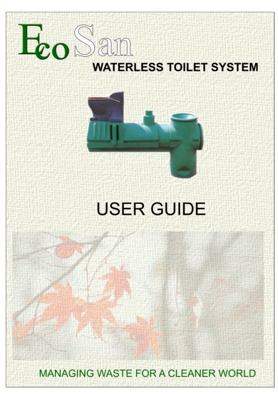



# **USER GUIDE**

**MANAGING WASTE FOR A CLEANER WORLD**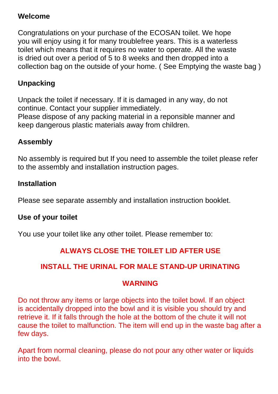#### **Welcome**

Congratulations on your purchase of the ECOSAN toilet. We hope you will enjoy using it for many troublefree years. This is a waterless toilet which means that it requires no water to operate. All the waste is dried out over a period of 5 to 8 weeks and then dropped into a collection bag on the outside of your home. ( See Emptying the waste bag )

## **Unpacking**

Unpack the toilet if necessary. If it is damaged in any way, do not continue. Contact your supplier immediately. Please dispose of any packing material in a reponsible manner and keep dangerous plastic materials away from children.

#### **Assembly**

No assembly is required but If you need to assemble the toilet please refer to the assembly and installation instruction pages.

#### **Installation**

Please see separate assembly and installation instruction booklet.

#### **Use of your toilet**

You use your toilet like any other toilet. Please remember to:

#### **ALWAYS CLOSE THE TOILET LID AFTER USE**

#### **INSTALL THE URINAL FOR MALE STAND-UP URINATING**

#### **WARNING**

Do not throw any items or large objects into the toilet bowl. If an object is accidentally dropped into the bowl and it is visible you should try and retrieve it. If it falls through the hole at the bottom of the chute it will not cause the toilet to malfunction. The item will end up in the waste bag after a few days.

Apart from normal cleaning, please do not pour any other water or liquids into the bowl.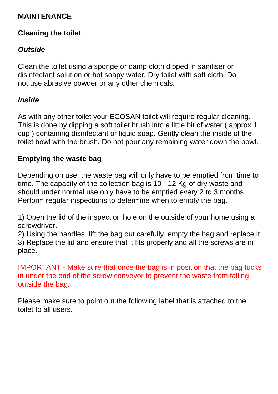#### **MAINTENANCE**

#### **Cleaning the toilet**

## *Outside*

Clean the toilet using a sponge or damp cloth dipped in sanitiser or disinfectant solution or hot soapy water. Dry toilet with soft cloth. Do not use abrasive powder or any other chemicals.

#### *Inside*

As with any other toilet your ECOSAN toilet will require regular cleaning. This is done by dipping a soft toilet brush into a little bit of water ( approx 1 cup ) containing disinfectant or liquid soap. Gently clean the inside of the toilet bowl with the brush. Do not pour any remaining water down the bowl.

#### **Emptying the waste bag**

Depending on use, the waste bag will only have to be emptied from time to time. The capacity of the collection bag is 10 - 12 Kg of dry waste and should under normal use only have to be emptied every 2 to 3 months. Perform regular inspections to determine when to empty the bag.

1) Open the lid of the inspection hole on the outside of your home using a screwdriver.

2) Using the handles, lift the bag out carefully, empty the bag and replace it. 3) Replace the lid and ensure that it fits properly and all the screws are in place.

IMPORTANT - Make sure that once the bag is in position that the bag tucks in under the end of the screw conveyor to prevent the waste from falling outside the bag.

Please make sure to point out the following label that is attached to the toilet to all users.